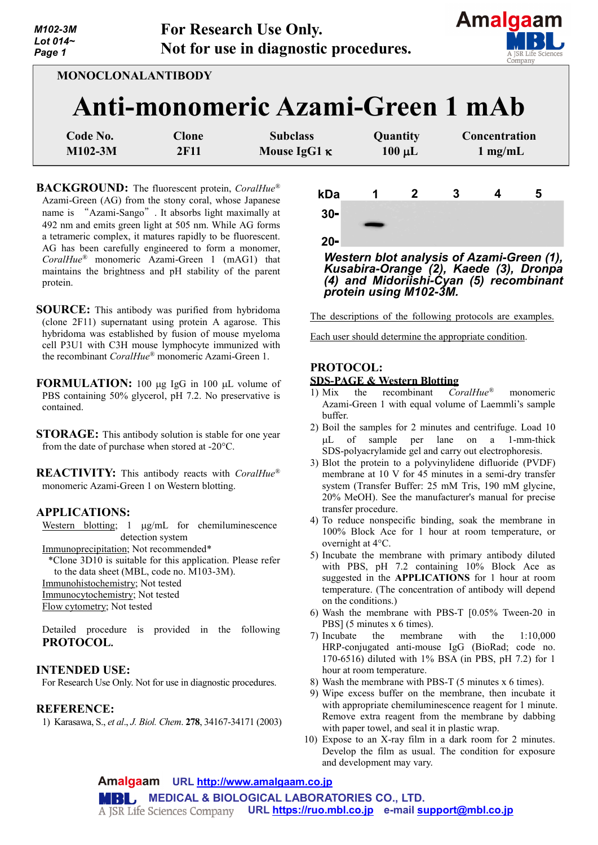| M102-3M<br>Lot 014~<br>Page 1 | For Research Use Only.<br>Not for use in diagnostic procedures. | Amalgaan<br>Company |                 |               |
|-------------------------------|-----------------------------------------------------------------|---------------------|-----------------|---------------|
|                               | <b>MONOCLONALANTIBODY</b><br>Anti-monomeric Azami-Green 1 mAb   |                     |                 |               |
| Code No.                      | Clone                                                           | <b>Subclass</b>     | <b>Ouantity</b> | Concentration |

| Code No.  | Clone | <b>Subclass</b>     | <b>Quantity</b> | <b>Concentration</b> |
|-----------|-------|---------------------|-----------------|----------------------|
| $M102-3M$ | 2F11  | Mouse $IgG1 \kappa$ | $100 \mu L$     | $1 \text{ mg/mL}$    |

**BACKGROUND:** The fluorescent protein, *CoralHue®* Azami-Green (AG) from the stony coral, whose Japanese name is "Azami-Sango". It absorbs light maximally at 492 nm and emits green light at 505 nm. While AG forms a tetrameric complex, it matures rapidly to be fluorescent. AG has been carefully engineered to form a monomer, *CoralHue®* monomeric Azami-Green 1 (mAG1) that maintains the brightness and pH stability of the parent protein.

- **SOURCE:** This antibody was purified from hybridoma (clone 2F11) supernatant using protein A agarose. This hybridoma was established by fusion of mouse myeloma cell P3U1 with C3H mouse lymphocyte immunized with the recombinant *CoralHue®* monomeric Azami-Green 1.
- **FORMULATION:** 100 µg IgG in 100 µL volume of PBS containing 50% glycerol, pH 7.2. No preservative is contained.
- **STORAGE:** This antibody solution is stable for one year from the date of purchase when stored at -20°C.

**REACTIVITY:** This antibody reacts with *CoralHue®* monomeric Azami-Green 1 on Western blotting.

## **APPLICATIONS:**

Western blotting; 1  $\mu$ g/mL for chemiluminescence detection system

Immunoprecipitation; Not recommended\*

\*Clone 3D10 is suitable for this application. Please refer to the data sheet (MBL, code no. M103-3M).

Immunohistochemistry; Not tested

Immunocytochemistry; Not tested

Flow cytometry; Not tested

Detailed procedure is provided in the following **PROTOCOL.**

## **INTENDED USE:**

For Research Use Only. Not for use in diagnostic procedures.

## **REFERENCE:**

1) Karasawa, S., *et al*., *J. Biol. Chem*. **278**, 34167-34171 (2003)



*Western blot analysis of Azami-Green (1), Kusabira-Orange (2), Kaede (3), Dronpa (4) and Midoriishi-Cyan (5) recombinant protein using M102-3M.*

The descriptions of the following protocols are examples.

Each user should determine the appropriate condition.

### **PROTOCOL:**

#### **SDS-PAGE & Western Blotting**

- 1) Mix the recombinant *CoralHue®* monomeric Azami-Green 1 with equal volume of Laemmli's sample buffer.
- 2) Boil the samples for 2 minutes and centrifuge. Load 10 µL of sample per lane on a 1-mm-thick SDS-polyacrylamide gel and carry out electrophoresis.
- 3) Blot the protein to a polyvinylidene difluoride (PVDF) membrane at 10 V for 45 minutes in a semi-dry transfer system (Transfer Buffer: 25 mM Tris, 190 mM glycine, 20% MeOH). See the manufacturer's manual for precise transfer procedure.
- 4) To reduce nonspecific binding, soak the membrane in 100% Block Ace for 1 hour at room temperature, or overnight at 4°C.
- 5) Incubate the membrane with primary antibody diluted with PBS, pH 7.2 containing 10% Block Ace as suggested in the **APPLICATIONS** for 1 hour at room temperature. (The concentration of antibody will depend on the conditions.)
- 6) Wash the membrane with PBS-T [0.05% Tween-20 in PBS] (5 minutes x 6 times).
- 7) Incubate the membrane with the 1:10,000 HRP-conjugated anti-mouse IgG (BioRad; code no. 170-6516) diluted with 1% BSA (in PBS, pH 7.2) for 1 hour at room temperature.
- 8) Wash the membrane with PBS-T (5 minutes x 6 times).
- 9) Wipe excess buffer on the membrane, then incubate it with appropriate chemiluminescence reagent for 1 minute. Remove extra reagent from the membrane by dabbing with paper towel, and seal it in plastic wrap.
- 10) Expose to an X-ray film in a dark room for 2 minutes. Develop the film as usual. The condition for exposure and development may vary.

**URL [http://www.amalgaam.co.jp](http://www.amalgaam.co.jp/) MEDICAL & BIOLOGICAL LABORATORIES CO., LTD.** MRL. **URL [https://ruo.mbl.co.jp](https://ruo.mbl.co.jp/) e-mail [support@mbl.co.jp](mailto:support@mbl.co.jp)**